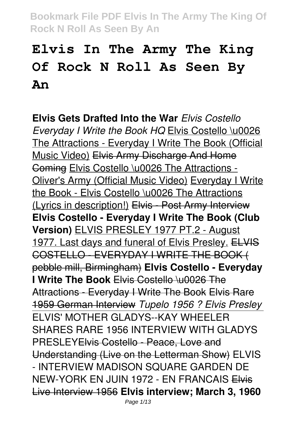# **Elvis In The Army The King Of Rock N Roll As Seen By An**

**Elvis Gets Drafted Into the War** *Elvis Costello Everyday I Write the Book HQ* Elvis Costello \u0026 The Attractions - Everyday I Write The Book (Official Music Video) Elvis Army Discharge And Home Coming Elvis Costello \u0026 The Attractions - Oliver's Army (Official Music Video) Everyday I Write the Book - Elvis Costello \u0026 The Attractions (Lyrics in description!) Elvis - Post Army Interview **Elvis Costello - Everyday I Write The Book (Club Version)** ELVIS PRESLEY 1977 PT.2 - August 1977. Last days and funeral of Elvis Presley. ELVIS COSTELLO - EVERYDAY I WRITE THE BOOK ( pebble mill, Birmingham) **Elvis Costello - Everyday I Write The Book** Elvis Costello \u0026 The Attractions - Everyday I Write The Book Elvis Rare 1959 German Interview *Tupelo 1956 ? Elvis Presley* ELVIS' MOTHER GLADYS--KAY WHEELER SHARES RARE 1956 INTERVIEW WITH GLADYS PRESLEYElvis Costello - Peace, Love and Understanding (Live on the Letterman Show) ELVIS - INTERVIEW MADISON SQUARE GARDEN DE NEW-YORK EN JUIN 1972 - EN FRANCAIS Elvis Live Interview 1956 **Elvis interview; March 3, 1960**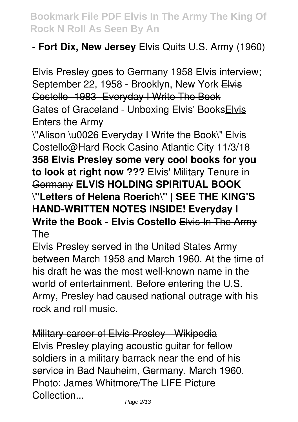#### **- Fort Dix, New Jersey** Elvis Quits U.S. Army (1960)

Elvis Presley goes to Germany 1958 Elvis interview; September 22, 1958 - Brooklyn, New York Elvis Costello -1983- Everyday I Write The Book Gates of Graceland - Unboxing Elvis' BooksElvis Enters the Army

\"Alison \u0026 Everyday I Write the Book\" Elvis Costello@Hard Rock Casino Atlantic City 11/3/18 **358 Elvis Presley some very cool books for you to look at right now ???** Elvis' Military Tenure in Germany **ELVIS HOLDING SPIRITUAL BOOK \"Letters of Helena Roerich\" | SEE THE KING'S HAND-WRITTEN NOTES INSIDE! Everyday I Write the Book - Elvis Costello** Elvis In The Army The

Elvis Presley served in the United States Army between March 1958 and March 1960. At the time of his draft he was the most well-known name in the world of entertainment. Before entering the U.S. Army, Presley had caused national outrage with his rock and roll music.

Military career of Elvis Presley - Wikipedia Elvis Presley playing acoustic guitar for fellow soldiers in a military barrack near the end of his service in Bad Nauheim, Germany, March 1960. Photo: James Whitmore/The LIFE Picture **Collection**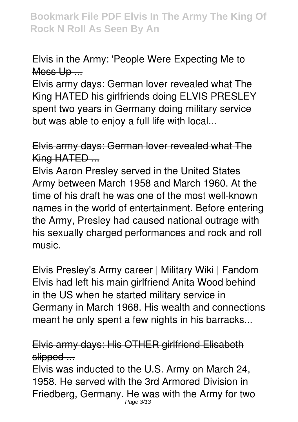#### Elvis in the Army: 'People Were Expecting Me to Mess Up ...

Elvis army days: German lover revealed what The King HATED his girlfriends doing ELVIS PRESLEY spent two years in Germany doing military service but was able to enjoy a full life with local...

Elvis army days: German lover revealed what The King HATED ...

Elvis Aaron Presley served in the United States Army between March 1958 and March 1960. At the time of his draft he was one of the most well-known names in the world of entertainment. Before entering the Army, Presley had caused national outrage with his sexually charged performances and rock and roll music.

Elvis Presley's Army career | Military Wiki | Fandom Elvis had left his main girlfriend Anita Wood behind in the US when he started military service in Germany in March 1968. His wealth and connections meant he only spent a few nights in his barracks...

#### Elvis army days: His OTHER girlfriend Elisabeth slipped ...

Elvis was inducted to the U.S. Army on March 24, 1958. He served with the 3rd Armored Division in Friedberg, Germany. He was with the Army for two Page 3/13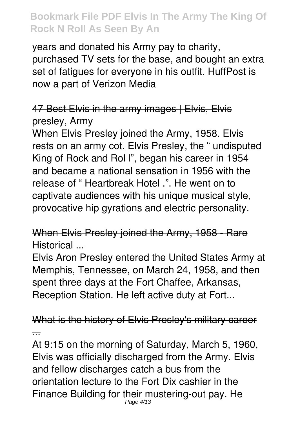years and donated his Army pay to charity, purchased TV sets for the base, and bought an extra set of fatigues for everyone in his outfit. HuffPost is now a part of Verizon Media

#### 47 Best Elvis in the army images | Elvis, Elvis presley, Army

When Elvis Presley joined the Army, 1958. Elvis rests on an army cot. Elvis Presley, the " undisputed King of Rock and Rol l", began his career in 1954 and became a national sensation in 1956 with the release of " Heartbreak Hotel .". He went on to captivate audiences with his unique musical style, provocative hip gyrations and electric personality.

## When Elvis Presley joined the Army, 1958 - Rare Historical ...

Elvis Aron Presley entered the United States Army at Memphis, Tennessee, on March 24, 1958, and then spent three days at the Fort Chaffee, Arkansas, Reception Station. He left active duty at Fort...

What is the history of Elvis Presley's military career ...

At 9:15 on the morning of Saturday, March 5, 1960, Elvis was officially discharged from the Army. Elvis and fellow discharges catch a bus from the orientation lecture to the Fort Dix cashier in the Finance Building for their mustering-out pay. He Page 4/13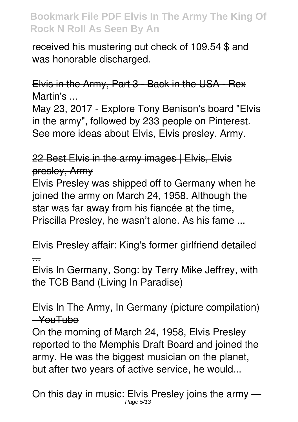received his mustering out check of 109.54 \$ and was honorable discharged.

## Elvis in the Army, Part 3 - Back in the USA - Rex Martin's ...

May 23, 2017 - Explore Tony Benison's board "Elvis in the army", followed by 233 people on Pinterest. See more ideas about Elvis, Elvis presley, Army.

# 22 Best Elvis in the army images | Elvis, Elvis presley, Army

Elvis Presley was shipped off to Germany when he joined the army on March 24, 1958. Although the star was far away from his fiancée at the time, Priscilla Presley, he wasn't alone. As his fame ...

Elvis Presley affair: King's former girlfriend detailed ...

Elvis In Germany, Song: by Terry Mike Jeffrey, with the TCB Band (Living In Paradise)

Elvis In The Army, In Germany (picture compilation)  $-x$ ouTube

On the morning of March 24, 1958, Elvis Presley reported to the Memphis Draft Board and joined the army. He was the biggest musician on the planet, but after two years of active service, he would...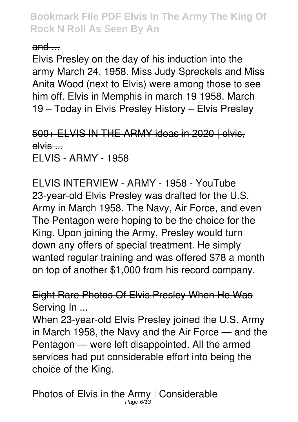$and$ 

Elvis Presley on the day of his induction into the army March 24, 1958. Miss Judy Spreckels and Miss Anita Wood (next to Elvis) were among those to see him off. Elvis in Memphis in march 19 1958. March 19 – Today in Elvis Presley History – Elvis Presley

500+ ELVIS IN THE ARMY ideas in 2020 | elvis, elvis ... ELVIS - ARMY - 1958

ELVIS INTERVIEW - ARMY - 1958 - YouTube 23-year-old Elvis Presley was drafted for the U.S. Army in March 1958. The Navy, Air Force, and even The Pentagon were hoping to be the choice for the King. Upon joining the Army, Presley would turn down any offers of special treatment. He simply wanted regular training and was offered \$78 a month on top of another \$1,000 from his record company.

Eight Rare Photos Of Elvis Presley When He Was Serving In ...

When 23-year-old Elvis Presley joined the U.S. Army in March 1958, the Navy and the Air Force — and the Pentagon — were left disappointed. All the armed services had put considerable effort into being the choice of the King.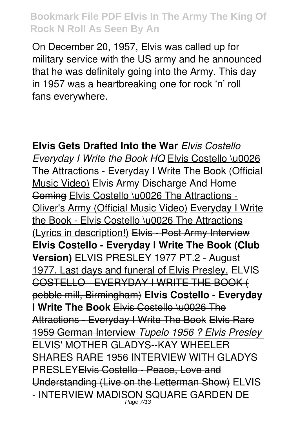On December 20, 1957, Elvis was called up for military service with the US army and he announced that he was definitely going into the Army. This day in 1957 was a heartbreaking one for rock 'n' roll fans everywhere.

**Elvis Gets Drafted Into the War** *Elvis Costello Everyday I Write the Book HQ* Elvis Costello \u0026 The Attractions - Everyday I Write The Book (Official Music Video) Elvis Army Discharge And Home Coming Elvis Costello \u0026 The Attractions - Oliver's Army (Official Music Video) Everyday I Write the Book - Elvis Costello \u0026 The Attractions (Lyrics in description!) Elvis - Post Army Interview **Elvis Costello - Everyday I Write The Book (Club Version)** ELVIS PRESLEY 1977 PT.2 - August 1977. Last days and funeral of Elvis Presley. ELVIS COSTELLO - EVERYDAY I WRITE THE BOOK ( pebble mill, Birmingham) **Elvis Costello - Everyday I Write The Book** Elvis Costello \u0026 The Attractions - Everyday I Write The Book Elvis Rare 1959 German Interview *Tupelo 1956 ? Elvis Presley* ELVIS' MOTHER GLADYS--KAY WHEELER SHARES RARE 1956 INTERVIEW WITH GLADYS PRESLEYElvis Costello - Peace, Love and Understanding (Live on the Letterman Show) ELVIS - INTERVIEW MADISON SQUARE GARDEN DE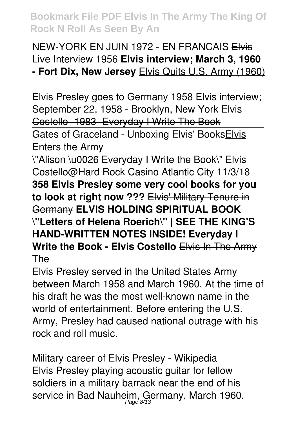## NEW-YORK EN JUIN 1972 - EN FRANCAIS Elvis Live Interview 1956 **Elvis interview; March 3, 1960 - Fort Dix, New Jersey** Elvis Quits U.S. Army (1960)

Elvis Presley goes to Germany 1958 Elvis interview; September 22, 1958 - Brooklyn, New York Elvis Costello -1983- Everyday I Write The Book Gates of Graceland - Unboxing Elvis' BooksElvis **Enters the Army** 

\"Alison \u0026 Everyday I Write the Book\" Elvis Costello@Hard Rock Casino Atlantic City 11/3/18 **358 Elvis Presley some very cool books for you to look at right now ???** Elvis' Military Tenure in Germany **ELVIS HOLDING SPIRITUAL BOOK \"Letters of Helena Roerich\" | SEE THE KING'S HAND-WRITTEN NOTES INSIDE! Everyday I Write the Book - Elvis Costello** Elvis In The Army The

Elvis Presley served in the United States Army between March 1958 and March 1960. At the time of his draft he was the most well-known name in the world of entertainment. Before entering the U.S. Army, Presley had caused national outrage with his rock and roll music.

Military career of Elvis Presley - Wikipedia Elvis Presley playing acoustic guitar for fellow soldiers in a military barrack near the end of his service in Bad Nauheim, Germany, March 1960.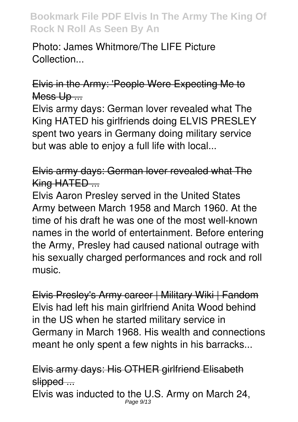Photo: James Whitmore/The LIFE Picture Collection...

Elvis in the Army: 'People Were Expecting Me to Mess Up ...

Elvis army days: German lover revealed what The King HATED his girlfriends doing ELVIS PRESLEY spent two years in Germany doing military service but was able to enjoy a full life with local...

Elvis army days: German lover revealed what The King HATED ...

Elvis Aaron Presley served in the United States Army between March 1958 and March 1960. At the time of his draft he was one of the most well-known names in the world of entertainment. Before entering the Army, Presley had caused national outrage with his sexually charged performances and rock and roll music.

Elvis Presley's Army career | Military Wiki | Fandom Elvis had left his main girlfriend Anita Wood behind in the US when he started military service in Germany in March 1968. His wealth and connections meant he only spent a few nights in his barracks...

Elvis army days: His OTHER girlfriend Elisabeth slipped ...

Elvis was inducted to the U.S. Army on March 24, Page 9/13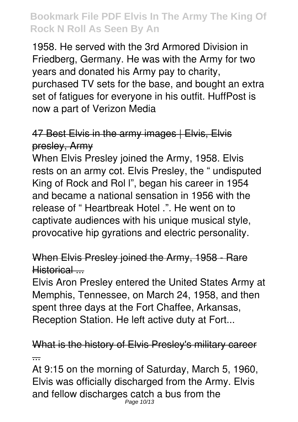1958. He served with the 3rd Armored Division in Friedberg, Germany. He was with the Army for two years and donated his Army pay to charity, purchased TV sets for the base, and bought an extra set of fatigues for everyone in his outfit. HuffPost is now a part of Verizon Media

## 47 Best Elvis in the army images | Elvis, Elvis presley, Army

When Elvis Presley joined the Army, 1958. Elvis rests on an army cot. Elvis Presley, the " undisputed King of Rock and Rol l", began his career in 1954 and became a national sensation in 1956 with the release of " Heartbreak Hotel .". He went on to captivate audiences with his unique musical style, provocative hip gyrations and electric personality.

#### When Elvis Presley joined the Army, 1958 - Rare Historical ...

Elvis Aron Presley entered the United States Army at Memphis, Tennessee, on March 24, 1958, and then spent three days at the Fort Chaffee, Arkansas, Reception Station. He left active duty at Fort...

What is the history of Elvis Presley's military career ...

At 9:15 on the morning of Saturday, March 5, 1960, Elvis was officially discharged from the Army. Elvis and fellow discharges catch a bus from the Page 10/13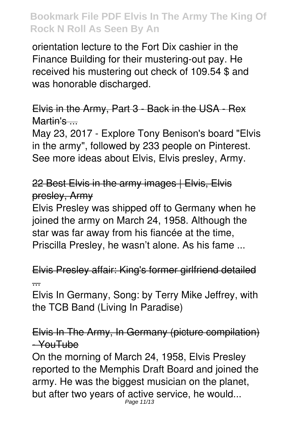orientation lecture to the Fort Dix cashier in the Finance Building for their mustering-out pay. He received his mustering out check of 109.54 \$ and was honorable discharged.

Elvis in the Army, Part 3 - Back in the USA - Rex Martin's ...

May 23, 2017 - Explore Tony Benison's board "Elvis in the army", followed by 233 people on Pinterest. See more ideas about Elvis, Elvis presley, Army.

22 Best Elvis in the army images | Elvis, Elvis presley, Army

Elvis Presley was shipped off to Germany when he joined the army on March 24, 1958. Although the star was far away from his fiancée at the time, Priscilla Presley, he wasn't alone. As his fame ...

Elvis Presley affair: King's former girlfriend detailed ...

Elvis In Germany, Song: by Terry Mike Jeffrey, with the TCB Band (Living In Paradise)

Elvis In The Army, In Germany (picture compilation) - YouTube

On the morning of March 24, 1958, Elvis Presley reported to the Memphis Draft Board and joined the army. He was the biggest musician on the planet, but after two years of active service, he would... Page 11/13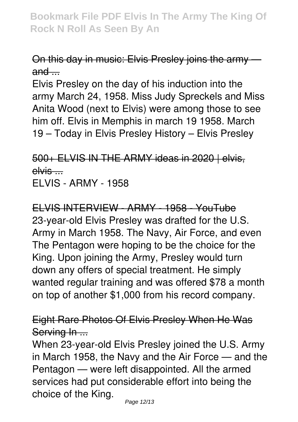#### On this day in music: Elvis Presley joins the army  $and -$

Elvis Presley on the day of his induction into the army March 24, 1958. Miss Judy Spreckels and Miss Anita Wood (next to Elvis) were among those to see him off. Elvis in Memphis in march 19 1958. March 19 – Today in Elvis Presley History – Elvis Presley

500+ ELVIS IN THE ARMY ideas in 2020 | elvis, elvis .... ELVIS - ARMY - 1958

ELVIS INTERVIEW - ARMY - 1958 - YouTube 23-year-old Elvis Presley was drafted for the U.S. Army in March 1958. The Navy, Air Force, and even The Pentagon were hoping to be the choice for the King. Upon joining the Army, Presley would turn down any offers of special treatment. He simply wanted regular training and was offered \$78 a month on top of another \$1,000 from his record company.

Eight Rare Photos Of Elvis Presley When He Was Serving In ...

When 23-year-old Elvis Presley joined the U.S. Army in March 1958, the Navy and the Air Force — and the Pentagon — were left disappointed. All the armed services had put considerable effort into being the choice of the King.